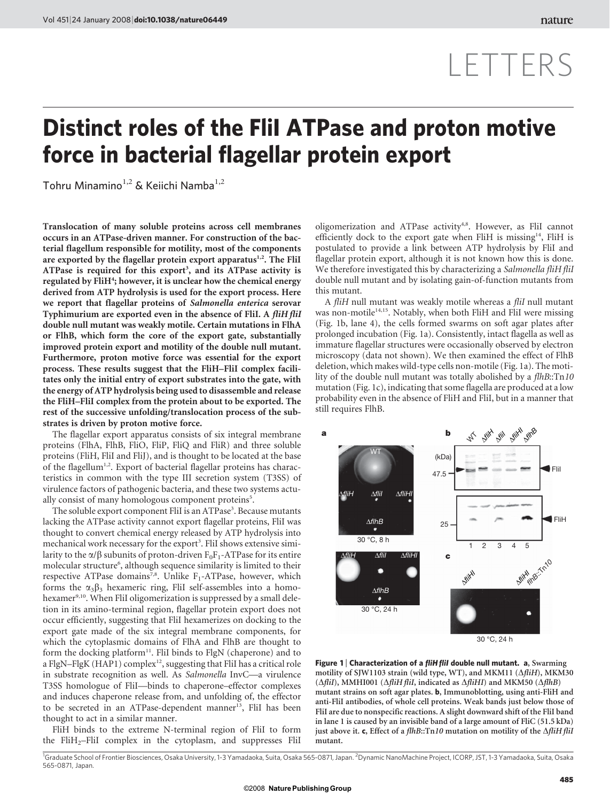# LETTERS

## Distinct roles of the FliI ATPase and proton motive force in bacterial flagellar protein export

Tohru Minamino<sup>1,2</sup> & Keiichi Namba<sup>1,2</sup>

Translocation of many soluble proteins across cell membranes occurs in an ATPase-driven manner. For construction of the bacterial flagellum responsible for motility, most of the components are exported by the flagellar protein export apparatus<sup>1,2</sup>. The FliI ATPase is required for this export<sup>3</sup>, and its ATPase activity is regulated by FliH<sup>4</sup>; however, it is unclear how the chemical energy derived from ATP hydrolysis is used for the export process. Here we report that flagellar proteins of Salmonella enterica serovar Typhimurium are exported even in the absence of FliI. A fliH fliI double null mutant was weakly motile. Certain mutations in FlhA or FlhB, which form the core of the export gate, substantially improved protein export and motility of the double null mutant. Furthermore, proton motive force was essential for the export process. These results suggest that the FliH–FliI complex facilitates only the initial entry of export substrates into the gate, with the energy of ATP hydrolysis being used to disassemble and release the FliH–FliI complex from the protein about to be exported. The rest of the successive unfolding/translocation process of the substrates is driven by proton motive force.

The flagellar export apparatus consists of six integral membrane proteins (FlhA, FlhB, FliO, FliP, FliQ and FliR) and three soluble proteins (FliH, FliI and FliJ), and is thought to be located at the base of the flagellum<sup>1,2</sup>. Export of bacterial flagellar proteins has characteristics in common with the type III secretion system (T3SS) of virulence factors of pathogenic bacteria, and these two systems actually consist of many homologous component proteins<sup>5</sup>.

The soluble export component FliI is an ATPase<sup>3</sup>. Because mutants lacking the ATPase activity cannot export flagellar proteins, FliI was thought to convert chemical energy released by ATP hydrolysis into mechanical work necessary for the export<sup>3</sup>. FliI shows extensive similarity to the  $\alpha/\beta$  subunits of proton-driven F<sub>0</sub>F<sub>1</sub>-ATPase for its entire molecular structure<sup>6</sup>, although sequence similarity is limited to their respective ATPase domains<sup>7,8</sup>. Unlike F<sub>1</sub>-ATPase, however, which forms the  $\alpha_3\beta_3$  hexameric ring, FliI self-assembles into a homohexamer<sup>9,10</sup>. When FliI oligomerization is suppressed by a small deletion in its amino-terminal region, flagellar protein export does not occur efficiently, suggesting that FliI hexamerizes on docking to the export gate made of the six integral membrane components, for which the cytoplasmic domains of FlhA and FlhB are thought to form the docking platform<sup>11</sup>. FliI binds to FlgN (chaperone) and to a FlgN-FlgK (HAP1) complex<sup>12</sup>, suggesting that FliI has a critical role in substrate recognition as well. As Salmonella InvC—a virulence T3SS homologue of FliI—binds to chaperone–effector complexes and induces chaperone release from, and unfolding of, the effector to be secreted in an ATPase-dependent manner<sup>13</sup>, FliI has been thought to act in a similar manner.

FliH binds to the extreme N-terminal region of FliI to form the FliH<sub>2</sub>–FliI complex in the cytoplasm, and suppresses FliI oligomerization and ATPase activity<sup>4,8</sup>. However, as FliI cannot efficiently dock to the export gate when FliH is missing<sup>14</sup>, FliH is postulated to provide a link between ATP hydrolysis by FliI and flagellar protein export, although it is not known how this is done. We therefore investigated this by characterizing a Salmonella fliH fliI double null mutant and by isolating gain-of-function mutants from this mutant.

A fliH null mutant was weakly motile whereas a fliI null mutant was non-motile<sup>14,15</sup>. Notably, when both FliH and FliI were missing (Fig. 1b, lane 4), the cells formed swarms on soft agar plates after prolonged incubation (Fig. 1a). Consistently, intact flagella as well as immature flagellar structures were occasionally observed by electron microscopy (data not shown). We then examined the effect of FlhB deletion, which makes wild-type cells non-motile (Fig. 1a). The motility of the double null mutant was totally abolished by a *flhB*::Tn10 mutation (Fig. 1c), indicating that some flagella are produced at a low probability even in the absence of FliH and FliI, but in a manner that still requires FlhB.



Figure 1 | Characterization of a *fliH fliI* double null mutant. a, Swarming motility of SJW1103 strain (wild type, WT), and MKM11 ( $\Delta f$ iH), MKM30  $(\Delta filiI),$  MMHI001  $(\Delta filiH filiI,$  indicated as  $\Delta filiHI)$  and MKM50  $(\Delta filiB)$ mutant strains on soft agar plates. b, Immunoblotting, using anti-FliH and anti-FliI antibodies, of whole cell proteins. Weak bands just below those of FliI are due to nonspecific reactions. A slight downward shift of the FliI band in lane 1 is caused by an invisible band of a large amount of FliC (51.5 kDa) just above it. c, Effect of a  $fhB::Tn10$  mutation on motility of the  $\Delta filiH filiI$ mutant.

<sup>1</sup>Graduate School of Frontier Biosciences, Osaka University, 1-3 Yamadaoka, Suita, Osaka 565-0871, Japan. <sup>2</sup>Dynamic NanoMachine Project, ICORP, JST, 1-3 Yamadaoka, Suita, Osaka 565-0871, Japan.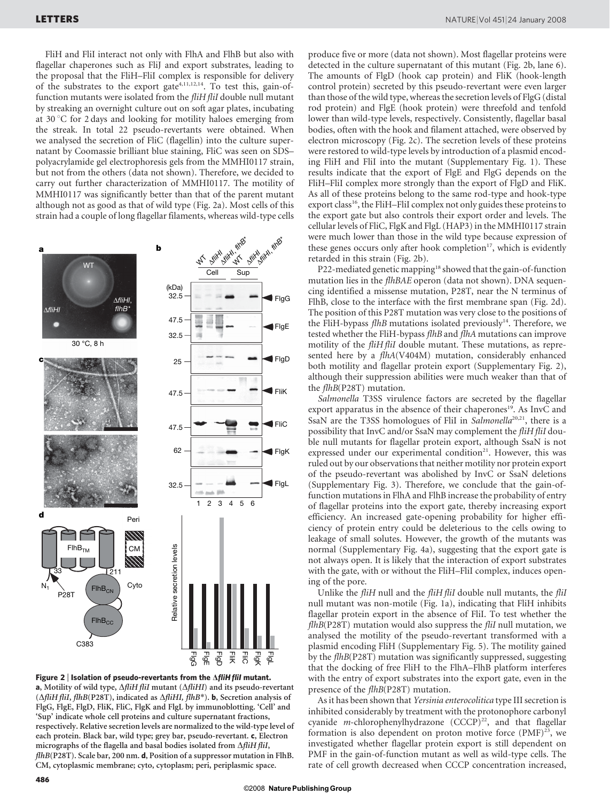FliH and FliI interact not only with FlhA and FlhB but also with flagellar chaperones such as FliJ and export substrates, leading to the proposal that the FliH–FliI complex is responsible for delivery of the substrates to the export gate<sup>4,11,12,14</sup>. To test this, gain-offunction mutants were isolated from the fliH fliI double null mutant by streaking an overnight culture out on soft agar plates, incubating at 30  $\degree$ C for 2 days and looking for motility haloes emerging from the streak. In total 22 pseudo-revertants were obtained. When we analysed the secretion of FliC (flagellin) into the culture supernatant by Coomassie brilliant blue staining, FliC was seen on SDS– polyacrylamide gel electrophoresis gels from the MMHI0117 strain, but not from the others (data not shown). Therefore, we decided to carry out further characterization of MMHI0117. The motility of MMHI0117 was significantly better than that of the parent mutant although not as good as that of wild type (Fig. 2a). Most cells of this strain had a couple of long flagellar filaments, whereas wild-type cells



Figure 2 | Isolation of pseudo-revertants from the  $\Delta$ fliH flil mutant. a, Motility of wild type,  $\Delta$ fliH fliI mutant ( $\Delta$ fliHI) and its pseudo-revertant ( $\Delta$ fliH fliI, flhB(P28T), indicated as  $\Delta$ fliHI, flhB<sup>\*</sup>). **b**, Secretion analysis of FlgG, FlgE, FlgD, FliK, FliC, FlgK and FlgL by immunoblotting. 'Cell' and 'Sup' indicate whole cell proteins and culture supernatant fractions, respectively. Relative secretion levels are normalized to the wild-type level of each protein. Black bar, wild type; grey bar, pseudo-revertant. c, Electron micrographs of the flagella and basal bodies isolated from  $\Delta f$ iH fliI, flhB(P28T). Scale bar, 200 nm. d, Position of a suppressor mutation in FlhB. CM, cytoplasmic membrane; cyto, cytoplasm; peri, periplasmic space.

produce five or more (data not shown). Most flagellar proteins were detected in the culture supernatant of this mutant (Fig. 2b, lane 6). The amounts of FlgD (hook cap protein) and FliK (hook-length control protein) secreted by this pseudo-revertant were even larger than those of the wild type, whereas the secretion levels of FlgG (distal rod protein) and FlgE (hook protein) were threefold and tenfold lower than wild-type levels, respectively. Consistently, flagellar basal bodies, often with the hook and filament attached, were observed by electron microscopy (Fig. 2c). The secretion levels of these proteins were restored to wild-type levels by introduction of a plasmid encoding FliH and FliI into the mutant (Supplementary Fig. 1). These results indicate that the export of FlgE and FlgG depends on the FliH–FliI complex more strongly than the export of FlgD and FliK. As all of these proteins belong to the same rod-type and hook-type export class<sup>16</sup>, the FliH–FliI complex not only guides these proteins to the export gate but also controls their export order and levels. The cellular levels of FliC, FlgK and FlgL (HAP3) in the MMHI0117 strain were much lower than those in the wild type because expression of these genes occurs only after hook completion $17$ , which is evidently retarded in this strain (Fig. 2b).

P22-mediated genetic mapping<sup>18</sup> showed that the gain-of-function mutation lies in the *flhBAE* operon (data not shown). DNA sequencing identified a missense mutation, P28T, near the N terminus of FlhB, close to the interface with the first membrane span (Fig. 2d). The position of this P28T mutation was very close to the positions of the FliH-bypass  $f/hB$  mutations isolated previously<sup>14</sup>. Therefore, we tested whether the FliH-bypass flhB and flhA mutations can improve motility of the *fliH fliI* double mutant. These mutations, as represented here by a flhA(V404M) mutation, considerably enhanced both motility and flagellar protein export (Supplementary Fig. 2), although their suppression abilities were much weaker than that of the flhB(P28T) mutation.

Salmonella T3SS virulence factors are secreted by the flagellar export apparatus in the absence of their chaperones<sup>19</sup>. As InvC and SsaN are the T3SS homologues of FliI in Salmonella<sup>20,21</sup>, there is a possibility that InvC and/or SsaN may complement the fliH fliI double null mutants for flagellar protein export, although SsaN is not expressed under our experimental condition<sup>21</sup>. However, this was ruled out by our observations that neither motility nor protein export of the pseudo-revertant was abolished by InvC or SsaN deletions (Supplementary Fig. 3). Therefore, we conclude that the gain-offunction mutations in FlhA and FlhB increase the probability of entry of flagellar proteins into the export gate, thereby increasing export efficiency. An increased gate-opening probability for higher efficiency of protein entry could be deleterious to the cells owing to leakage of small solutes. However, the growth of the mutants was normal (Supplementary Fig. 4a), suggesting that the export gate is not always open. It is likely that the interaction of export substrates with the gate, with or without the FliH–FliI complex, induces opening of the pore.

Unlike the fliH null and the fliH fliI double null mutants, the fliI null mutant was non-motile (Fig. 1a), indicating that FliH inhibits flagellar protein export in the absence of FliI. To test whether the  $f$ lhB(P28T) mutation would also suppress the *fliI* null mutation, we analysed the motility of the pseudo-revertant transformed with a plasmid encoding FliH (Supplementary Fig. 5). The motility gained by the flhB(P28T) mutation was significantly suppressed, suggesting that the docking of free FliH to the FlhA–FlhB platform interferes with the entry of export substrates into the export gate, even in the presence of the flhB(P28T) mutation.

As it has been shown that Yersinia enterocolitica type III secretion is inhibited considerably by treatment with the protonophore carbonyl cyanide  $m$ -chlorophenylhydrazone (CCCP)<sup>22</sup>, and that flagellar formation is also dependent on proton motive force  $(PMF)^{23}$ , we investigated whether flagellar protein export is still dependent on PMF in the gain-of-function mutant as well as wild-type cells. The rate of cell growth decreased when CCCP concentration increased,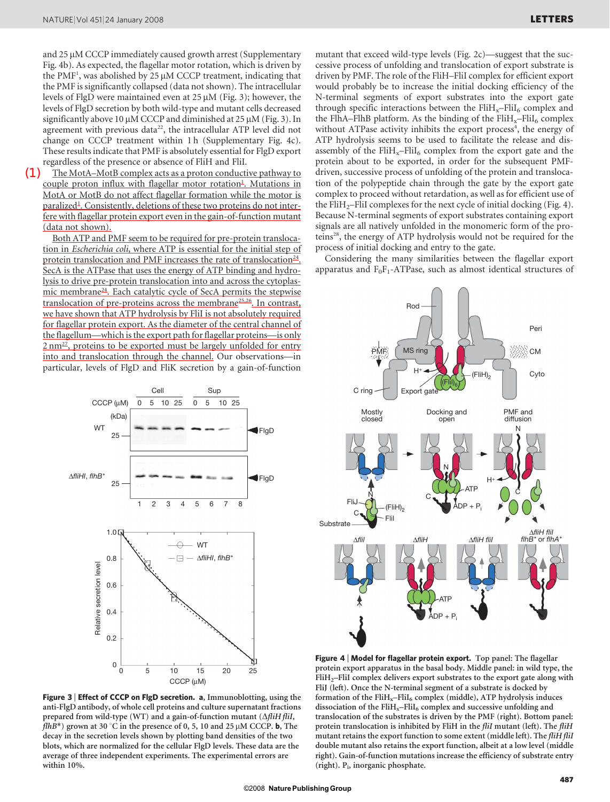and 25 µM CCCP immediately caused growth arrest (Supplementary Fig. 4b). As expected, the flagellar motor rotation, which is driven by the PMF<sup>1</sup>, was abolished by 25  $\mu$ M CCCP treatment, indicating that the PMF is significantly collapsed (data not shown). The intracellular levels of FlgD were maintained even at  $25 \mu M$  (Fig. 3); however, the levels of FlgD secretion by both wild-type and mutant cells decreased significantly above 10  $\mu$ M CCCP and diminished at 25  $\mu$ M (Fig. 3). In agreement with previous data<sup>22</sup>, the intracellular ATP level did not change on CCCP treatment within 1 h (Supplementary Fig. 4c). These results indicate that PMF is absolutely essential for FlgD export regardless of the presence or absence of FliH and FliI.

(1)

The MotA–MotB complex acts as a proton conductive pathway to couple proton influx with flagellar motor rotation<sup>1</sup>. Mutations in MotA or MotB do not affect flagellar formation while the motor is paralized<sup>1</sup>. Consistently, deletions of these two proteins do not interfere with flagellar protein export even in the gain-of-function mutant (data not shown).

Both ATP and PMF seem to be required for pre-protein translocation in Escherichia coli, where ATP is essential for the initial step of protein translocation and PMF increases the rate of translocation $^{24}$ . SecA is the ATPase that uses the energy of ATP binding and hydrolysis to drive pre-protein translocation into and across the cytoplasmic membrane<sup>24</sup>. Each catalytic cycle of SecA permits the stepwise translocation of pre-proteins across the membrane25,26. In contrast, we have shown that ATP hydrolysis by FliI is not absolutely required for flagellar protein export. As the diameter of the central channel of the flagellum—which is the export path for flagellar proteins—is only  $2 \text{ nm}^{27}$ , proteins to be exported must be largely unfolded for entry into and translocation through the channel. Our observations—in particular, levels of FlgD and FliK secretion by a gain-of-function



Figure 3 | Effect of CCCP on FlgD secretion. a, Immunoblotting, using the anti-FlgD antibody, of whole cell proteins and culture supernatant fractions prepared from wild-type (WT) and a gain-of-function mutant  $(\Delta f \ddot{\iota} H f \ddot{\iota} I,$ flhB<sup>\*</sup>) grown at 30 °C in the presence of 0, 5, 10 and 25  $\mu$ M CCCP. **b**, The decay in the secretion levels shown by plotting band densities of the two blots, which are normalized for the cellular FlgD levels. These data are the average of three independent experiments. The experimental errors are within 10%.

mutant that exceed wild-type levels (Fig. 2c)—suggest that the successive process of unfolding and translocation of export substrate is driven by PMF. The role of the FliH–FliI complex for efficient export would probably be to increase the initial docking efficiency of the N-terminal segments of export substrates into the export gate through specific interactions between the  $FliH_x-FliI_6$  complex and the FlhA–FlhB platform. As the binding of the  $FliH_x-FliI_6$  complex without ATPase activity inhibits the export process<sup>4</sup>, the energy of ATP hydrolysis seems to be used to facilitate the release and disassembly of the  $FliH_x-FliI_6$  complex from the export gate and the protein about to be exported, in order for the subsequent PMFdriven, successive process of unfolding of the protein and translocation of the polypeptide chain through the gate by the export gate complex to proceed without retardation, as well as for efficient use of the FliH<sub>2</sub>–FliI complexes for the next cycle of initial docking (Fig. 4). Because N-terminal segments of export substrates containing export signals are all natively unfolded in the monomeric form of the proteins28, the energy of ATP hydrolysis would not be required for the process of initial docking and entry to the gate.

Considering the many similarities between the flagellar export apparatus and  $F_0F_1$ -ATPase, such as almost identical structures of



Figure 4 | Model for flagellar protein export. Top panel: The flagellar protein export apparatus in the basal body. Middle panel: in wild type, the FliH2–FliI complex delivers export substrates to the export gate along with FliJ (left). Once the N-terminal segment of a substrate is docked by formation of the  $FliH_x-FliI_6$  complex (middle), ATP hydrolysis induces dissociation of the FliH<sub>x</sub>–FliI<sub>6</sub> complex and successive unfolding and translocation of the substrates is driven by the PMF (right). Bottom panel: protein translocation is inhibited by FliH in the fliI mutant (left). The fliH mutant retains the export function to some extent (middle left). The fliH fliI double mutant also retains the export function, albeit at a low level (middle right). Gain-of-function mutations increase the efficiency of substrate entry (right).  $P_i$ , inorganic phosphate.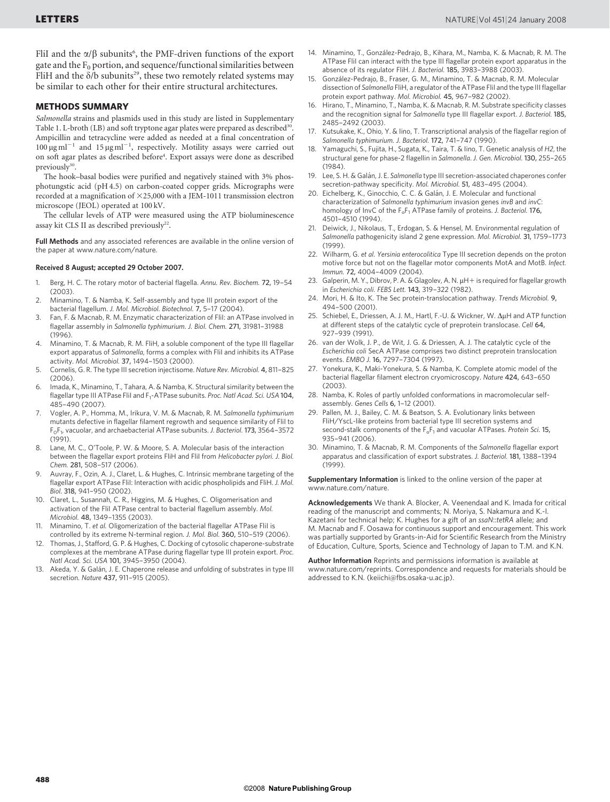FliI and the  $\alpha/\beta$  subunits<sup>6</sup>, the PMF-driven functions of the export gate and the  $F_0$  portion, and sequence/functional similarities between FliH and the  $\delta/b$  subunits<sup>29</sup>, these two remotely related systems may be similar to each other for their entire structural architectures.

### METHODS SUMMARY

Salmonella strains and plasmids used in this study are listed in Supplementary Table 1. L-broth (LB) and soft tryptone agar plates were prepared as described<sup>30</sup> Ampicillin and tetracycline were added as needed at a final concentration of  $100 \,\mathrm{\upmu g\,ml}^{-1}$  and  $15 \,\mathrm{\upmu g\,ml}^{-1}$ , respectively. Motility assays were carried out on soft agar plates as described before<sup>4</sup>. Export assays were done as described previously<sup>30</sup>

The hook–basal bodies were purified and negatively stained with 3% phosphotungstic acid (pH 4.5) on carbon-coated copper grids. Micrographs were recorded at a magnification of  $\times$ 25,000 with a JEM-1011 transmission electron microscope (JEOL) operated at 100 kV.

The cellular levels of ATP were measured using the ATP bioluminescence assay kit CLS II as described previously<sup>22</sup>.

Full Methods and any associated references are available in the online version of the paper at<www.nature.com/nature>.

#### Received 8 August; accepted 29 October 2007.

- 1. Berg, H. C. The rotary motor of bacterial flagella. Annu. Rev. Biochem. 72, 19–54 (2003).
- 2. Minamino, T. & Namba, K. Self-assembly and type III protein export of the bacterial flagellum. J. Mol. Microbiol. Biotechnol. 7, 5–17 (2004).
- 3. Fan, F. & Macnab, R. M. Enzymatic characterization of FliI: an ATPase involved in flagellar assembly in Salmonella typhimurium. J. Biol. Chem. 271, 31981–31988 (1996).
- 4. Minamino, T. & Macnab, R. M. FliH, a soluble component of the type III flagellar export apparatus of Salmonella, forms a complex with Flil and inhibits its ATPase activity. Mol. Microbiol. 37, 1494–1503 (2000).
- 5. Cornelis, G. R. The type III secretion injectisome. Nature Rev. Microbiol. 4, 811–825 (2006).
- 6. Imada, K., Minamino, T., Tahara, A. & Namba, K. Structural similarity between the flagellar type III ATPase Flil and  $F_1$ -ATPase subunits. Proc. Natl Acad. Sci. USA 104, 485–490 (2007).
- 7. Vogler, A. P., Homma, M., Irikura, V. M. & Macnab, R. M. Salmonella typhimurium mutants defective in flagellar filament regrowth and sequence similarity of FliI to  $F_0F_1$ , vacuolar, and archaebacterial ATPase subunits. J. Bacteriol. 173, 3564-3572 (1991).
- 8. Lane, M. C., O'Toole, P. W. & Moore, S. A. Molecular basis of the interaction between the flagellar export proteins FliH and FliI from Helicobacter pylori. J. Biol. Chem. 281, 508–517 (2006).
- Auvray, F., Ozin, A. J., Claret, L. & Hughes, C. Intrinsic membrane targeting of the flagellar export ATPase Flil: Interaction with acidic phospholipids and FliH. J. Mol. Biol. 318, 941–950 (2002).
- 10. Claret, L., Susannah, C. R., Higgins, M. & Hughes, C. Oligomerisation and activation of the FliI ATPase central to bacterial flagellum assembly. Mol. Microbiol. 48, 1349–1355 (2003).
- 11. Minamino, T. et al. Oligomerization of the bacterial flagellar ATPase Flil is controlled by its extreme N-terminal region. J. Mol. Biol. 360, 510–519 (2006).
- 12. Thomas, J., Stafford, G. P. & Hughes, C. Docking of cytosolic chaperone-substrate complexes at the membrane ATPase during flagellar type III protein export. Proc. Natl Acad. Sci. USA 101, 3945–3950 (2004).
- 13. Akeda, Y. & Galán, J. E. Chaperone release and unfolding of substrates in type III secretion. Nature 437, 911–915 (2005).
- 14. Minamino, T., González-Pedrajo, B., Kihara, M., Namba, K. & Macnab, R. M. The ATPase FliI can interact with the type III flagellar protein export apparatus in the absence of its regulator FliH. J. Bacteriol. 185, 3983–3988 (2003).
- 15. González-Pedrajo, B., Fraser, G. M., Minamino, T. & Macnab, R. M. Molecular dissection of Salmonella FliH, a regulator of the ATPase FliI and the type III flagellar protein export pathway. Mol. Microbiol. 45, 967–982 (2002).
- 16. Hirano, T., Minamino, T., Namba, K. & Macnab, R. M. Substrate specificity classes and the recognition signal for Salmonella type III flagellar export. J. Bacteriol. 185, 2485–2492 (2003).
- 17. Kutsukake, K., Ohio, Y. & Iino, T. Transcriptional analysis of the flagellar region of Salmonella typhimurium. J. Bacteriol. 172, 741–747 (1990).
- Yamaguchi, S., Fujita, H., Sugata, K., Taira, T. & Iino, T. Genetic analysis of H2, the structural gene for phase-2 flagellin in Salmonella. J. Gen. Microbiol. 130, 255–265 (1984).
- Lee, S. H. & Galán, J. E. Salmonella type III secretion-associated chaperones confer secretion-pathway specificity. Mol. Microbiol. 51, 483–495 (2004).
- 20. Eichelberg, K., Ginocchio, C. C. & Galán, J. E. Molecular and functional characterization of Salmonella typhimurium invasion genes invB and invC: homology of InvC of the  $F_0F_1$  ATPase family of proteins. J. Bacteriol. 176, 4501–4510 (1994).
- 21. Deiwick, J., Nikolaus, T., Erdogan, S. & Hensel, M. Environmental regulation of Salmonella pathogenicity island 2 gene expression. Mol. Microbiol. 31, 1759–1773 (1999).
- 22. Wilharm, G. et al. Yersinia enterocolitica Type III secretion depends on the proton motive force but not on the flagellar motor components MotA and MotB. Infect. Immun. 72, 4004–4009 (2004).
- 23. Galperin, M. Y., Dibrov, P. A. & Glagolev, A. N. µH+ is required for flagellar growth in Escherichia coli. FEBS Lett. 143, 319–322 (1982).
- 24. Mori, H. & Ito, K. The Sec protein-translocation pathway. Trends Microbiol. 9, 494–500 (2001).
- 25. Schiebel, E., Driessen, A. J. M., Hartl, F.-U. & Wickner, W.  $\Delta \mu$ H and ATP function at different steps of the catalytic cycle of preprotein translocase. Cell 64, 927–939 (1991).
- 26. van der Wolk, J. P., de Wit, J. G. & Driessen, A. J. The catalytic cycle of the Escherichia coli SecA ATPase comprises two distinct preprotein translocation events. EMBO J. 16, 7297–7304 (1997).
- 27. Yonekura, K., Maki-Yonekura, S. & Namba, K. Complete atomic model of the bacterial flagellar filament electron cryomicroscopy. Nature 424, 643–650 (2003).
- 28. Namba, K. Roles of partly unfolded conformations in macromolecular selfassembly. Genes Cells 6, 1–12 (2001).
- 29. Pallen, M. J., Bailey, C. M. & Beatson, S. A. Evolutionary links between FliH/YscL-like proteins from bacterial type III secretion systems and second-stalk components of the  $F_0F_1$  and vacuolar ATPases. Protein Sci. 15, 935–941 (2006).
- 30. Minamino, T. & Macnab, R. M. Components of the Salmonella flagellar export apparatus and classification of export substrates. J. Bacteriol. 181, 1388–1394 (1999).

Supplementary Information is linked to the online version of the paper at <www.nature.com/nature>.

Acknowledgements We thank A. Blocker, A. Veenendaal and K. Imada for critical reading of the manuscript and comments; N. Moriya, S. Nakamura and K.-I. Kazetani for technical help; K. Hughes for a gift of an ssaN::tetRA allele; and M. Macnab and F. Oosawa for continuous support and encouragement. This work was partially supported by Grants-in-Aid for Scientific Research from the Ministry of Education, Culture, Sports, Science and Technology of Japan to T.M. and K.N.

Author Information Reprints and permissions information is available at <www.nature.com/reprints>. Correspondence and requests for materials should be addressed to K.N. [\(keiichi@fbs.osaka-u.ac.jp\).](mailto:keiichi@fbs.osaka-u.ac.jp)